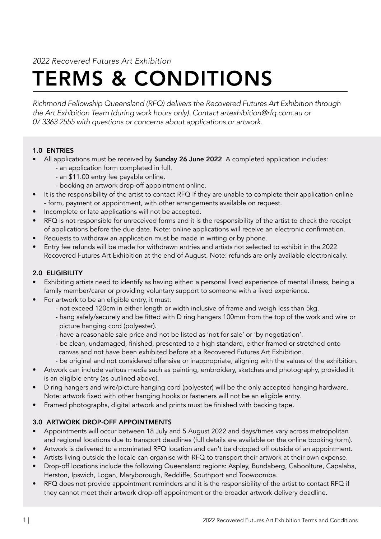*2022 Recovered Futures Art Exhibition*

# TERMS & CONDITIONS

*Richmond Fellowship Queensland (RFQ) delivers the Recovered Futures Art Exhibition through the Art Exhibition Team (during work hours only). Contact artexhibition@rfq.com.au or 07 3363 2555 with questions or concerns about applications or artwork.*

# 1.0 ENTRIES

- All applications must be received by **Sunday 26 June 2022**. A completed application includes:
	- an application form completed in full.
	- an \$11.00 entry fee payable online.
	- booking an artwork drop-off appointment online.
- It is the responsibility of the artist to contact RFQ if they are unable to complete their application online - form, payment or appointment, with other arrangements available on request.
- Incomplete or late applications will not be accepted.
- RFQ is not responsible for unreceived forms and it is the responsibility of the artist to check the receipt of applications before the due date. Note: online applications will receive an electronic confirmation.
- Requests to withdraw an application must be made in writing or by phone.
- Entry fee refunds will be made for withdrawn entries and artists not selected to exhibit in the 2022 Recovered Futures Art Exhibition at the end of August. Note: refunds are only available electronically.

# 2.0 ELIGIBILITY

- Exhibiting artists need to identify as having either: a personal lived experience of mental illness, being a family member/carer or providing voluntary support to someone with a lived experience.
- For artwork to be an eligible entry, it must:
	- not exceed 120cm in either length or width inclusive of frame and weigh less than 5kg.
	- hang safely/securely and be fitted with D ring hangers 100mm from the top of the work and wire or picture hanging cord (polyester).
	- have a reasonable sale price and not be listed as 'not for sale' or 'by negotiation'.
	- be clean, undamaged, finished, presented to a high standard, either framed or stretched onto canvas and not have been exhibited before at a Recovered Futures Art Exhibition.
	- be original and not considered offensive or inappropriate, aligning with the values of the exhibition.
- Artwork can include various media such as painting, embroidery, sketches and photography, provided it is an eligible entry (as outlined above).
- D ring hangers and wire/picture hanging cord (polyester) will be the only accepted hanging hardware. Note: artwork fixed with other hanging hooks or fasteners will not be an eligible entry.
- Framed photographs, digital artwork and prints must be finished with backing tape.

# 3.0 ARTWORK DROP-OFF APPOINTMENTS

- Appointments will occur between 18 July and 5 August 2022 and days/times vary across metropolitan and regional locations due to transport deadlines (full details are available on the online booking form).
- Artwork is delivered to a nominated RFQ location and can't be dropped off outside of an appointment.
- Artists living outside the locale can organise with RFQ to transport their artwork at their own expense.
- Drop-off locations include the following Queensland regions: Aspley, Bundaberg, Caboolture, Capalaba, Herston, Ipswich, Logan, Maryborough, Redcliffe, Southport and Toowoomba.
- RFQ does not provide appointment reminders and it is the responsibility of the artist to contact RFQ if they cannot meet their artwork drop-off appointment or the broader artwork delivery deadline.